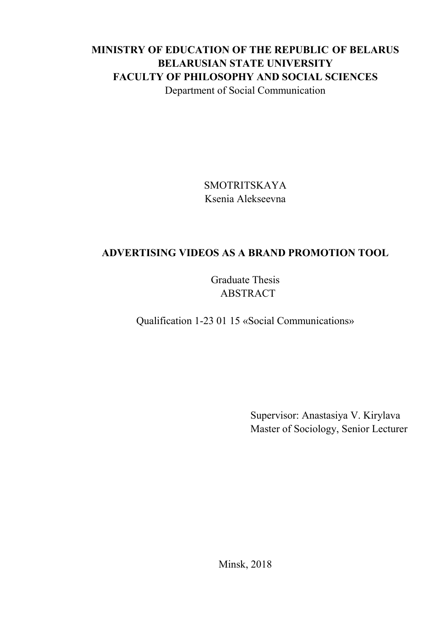## **MINISTRY OF EDUCATION OF THE REPUBLIC OF BELARUS BELARUSIAN STATE UNIVERSITY FACULTY OF PHILOSOPHY AND SOCIAL SCIENCES** Department of Social Communication

SMOTRITSKAYA Ksenia Alekseevna

## **ADVERTISING VIDEOS AS A BRAND PROMOTION TOOL**

Graduate Thesis ABSTRACT

Qualification 1-23 01 15 «Social Communications»

Supervisor: Anastasiya V. Kirylava Master of Sociology, Senior Lecturer

Minsk, 2018